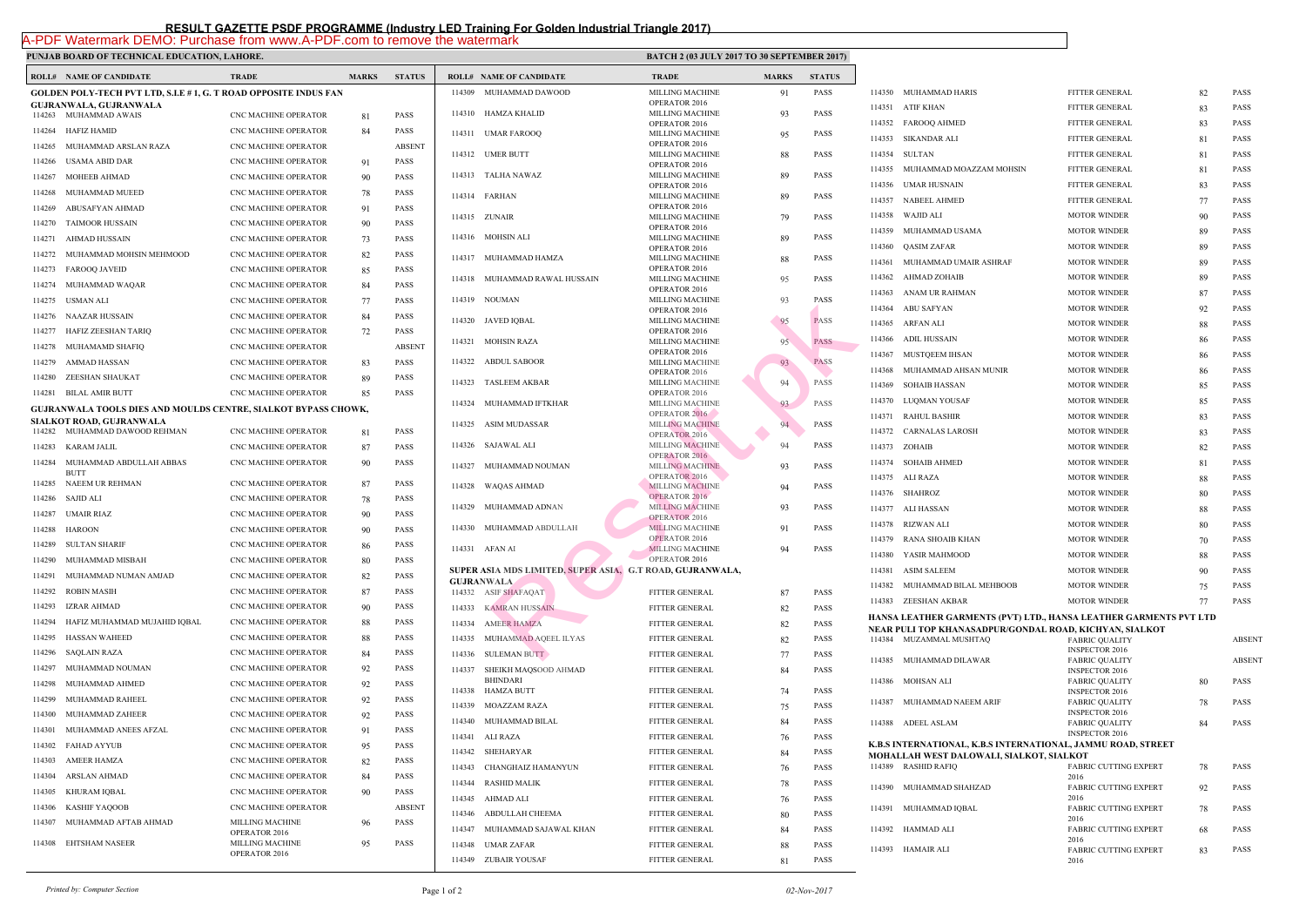## **PUNJAB BOARD OF TECHNICAL EDUCATION, LAHORE.** BATCH 2017 **BATCH 2017 TO 30 SEPTEMBER 2017 ISSUED ASSOCIATED AT A SEPTEMBER 2017**

 $\mathbf{I}$ 

|        | <b>ROLL# NAME OF CANDIDATE</b>                                           | <b>TRADE</b>                            | <b>MARKS</b> | <b>STATUS</b> |        | <b>ROLL# NAME OF CANDIDATE</b>                | <b>TRAL</b>                 |
|--------|--------------------------------------------------------------------------|-----------------------------------------|--------------|---------------|--------|-----------------------------------------------|-----------------------------|
|        | <b>GOLDEN POLY-TECH PVT LTD, S.I.E # 1, G. T ROAD OPPOSITE INDUS FAN</b> |                                         |              |               |        | 114309 MUHAMMAD DAWOOD                        | <b>MILLI</b>                |
|        | GUJRANWALA, GUJRANWALA                                                   |                                         |              | OPER/         |        |                                               |                             |
|        | 114263 MUHAMMAD AWAIS                                                    | CNC MACHINE OPERATOR                    | 81           | <b>PASS</b>   |        | 114310 HAMZA KHALID                           | <b>MILLI</b><br>OPERA       |
| 114264 | <b>HAFIZ HAMID</b>                                                       | CNC MACHINE OPERATOR                    | 84           | <b>PASS</b>   |        | 114311 UMAR FAROOQ                            | <b>MILLI</b>                |
| 114265 | MUHAMMAD ARSLAN RAZA                                                     | <b>CNC MACHINE OPERATOR</b>             |              | <b>ABSENT</b> |        | 114312 UMER BUTT                              | OPER/<br><b>MILLI</b>       |
| 114266 | <b>USAMA ABID DAR</b>                                                    | <b>CNC MACHINE OPERATOR</b>             | 91           | <b>PASS</b>   |        |                                               | OPER/                       |
| 114267 | <b>MOHEEB AHMAD</b>                                                      | CNC MACHINE OPERATOR                    | 90           | <b>PASS</b>   |        | 114313 TALHA NAWAZ                            | <b>MILLI</b><br>OPER/       |
| 114268 | MUHAMMAD MUEED                                                           | <b>CNC MACHINE OPERATOR</b>             | 78           | <b>PASS</b>   |        | 114314 FARHAN                                 | <b>MILLI</b>                |
| 114269 | ABUSAFYAN AHMAD                                                          | <b>CNC MACHINE OPERATOR</b>             | 91           | <b>PASS</b>   |        | 114315 ZUNAIR                                 | OPER/<br><b>MILLI</b>       |
| 114270 | <b>TAIMOOR HUSSAIN</b>                                                   | <b>CNC MACHINE OPERATOR</b>             | 90           | <b>PASS</b>   |        |                                               | OPER/                       |
| 114271 | AHMAD HUSSAIN                                                            | <b>CNC MACHINE OPERATOR</b>             | 73           | <b>PASS</b>   |        | 114316 MOHSIN ALI                             | <b>MILLI</b>                |
| 114272 | MUHAMMAD MOHSIN MEHMOOD                                                  | CNC MACHINE OPERATOR                    | 82           | PASS          |        | 114317 MUHAMMAD HAMZA                         | OPER/<br><b>MILLI</b>       |
| 114273 | <b>FAROOQ JAVEID</b>                                                     | <b>CNC MACHINE OPERATOR</b>             | 85           | <b>PASS</b>   |        |                                               | OPER/                       |
| 114274 | MUHAMMAD WAQAR                                                           | CNC MACHINE OPERATOR                    | 84           | <b>PASS</b>   |        | 114318 MUHAMMAD RAWAL HUSSAIN                 | <b>MILLI</b><br>OPER/       |
| 114275 | <b>USMAN ALI</b>                                                         | <b>CNC MACHINE OPERATOR</b>             | 77           | PASS          |        | 114319 NOUMAN                                 | <b>MILLI</b>                |
| 114276 | NAAZAR HUSSAIN                                                           | CNC MACHINE OPERATOR                    | 84           | <b>PASS</b>   |        | 114320 JAVED IQBAL                            | OPER/<br><b>MILLI</b>       |
| 114277 | HAFIZ ZEESHAN TARIQ                                                      | <b>CNC MACHINE OPERATOR</b>             | 72           | <b>PASS</b>   |        |                                               | OPERA                       |
| 114278 | MUHAMAMD SHAFIQ                                                          | <b>CNC MACHINE OPERATOR</b>             |              | <b>ABSENT</b> |        | 114321 MOHSIN RAZA                            | <b>MILLI</b><br>OPER/       |
| 114279 | AMMAD HASSAN                                                             | <b>CNC MACHINE OPERATOR</b>             | 83           | <b>PASS</b>   |        | 114322 ABDUL SABOOR                           | <b>MILLI</b>                |
| 114280 | ZEESHAN SHAUKAT                                                          | <b>CNC MACHINE OPERATOR</b>             | 89           | <b>PASS</b>   |        | 114323 TASLEEM AKBAR                          | OPERA<br><b>MILLI</b>       |
| 114281 | <b>BILAL AMIR BUTT</b>                                                   | <b>CNC MACHINE OPERATOR</b>             | 85           | <b>PASS</b>   |        |                                               | OPER/                       |
|        | GUJRANWALA TOOLS DIES AND MOULDS CENTRE, SIALKOT BYPASS CHOWK,           |                                         |              |               |        | 114324 MUHAMMAD IFTKHAR                       | <b>MILLI</b>                |
|        | SIALKOT ROAD, GUJRANWALA                                                 |                                         |              |               |        | 114325 ASIM MUDASSAR                          | OPER/<br><b>MILLI</b>       |
|        | 114282 MUHAMMAD DAWOOD REHMAN                                            | <b>CNC MACHINE OPERATOR</b>             | 81           | <b>PASS</b>   |        |                                               | OPER/                       |
| 114283 | KARAM JALIL                                                              | <b>CNC MACHINE OPERATOR</b>             | 87           | <b>PASS</b>   |        | 114326 SAJAWAL ALI                            | <b>MILLI</b><br>OPER/       |
| 114284 | MUHAMMAD ABDULLAH ABBAS<br><b>BUTT</b>                                   | CNC MACHINE OPERATOR                    | 90           | <b>PASS</b>   |        | 114327 MUHAMMAD NOUMAN                        | <b>MILLI</b>                |
| 114285 | NAEEM UR REHMAN                                                          | <b>CNC MACHINE OPERATOR</b>             | 87           | <b>PASS</b>   | 114328 | <b>WAQAS AHMAD</b>                            | OPER/<br><b>MILLI</b>       |
| 114286 | SAJID ALI                                                                | CNC MACHINE OPERATOR                    | 78           | <b>PASS</b>   |        |                                               | OPER/                       |
| 114287 | UMAIR RIAZ                                                               | <b>CNC MACHINE OPERATOR</b>             | 90           | <b>PASS</b>   |        | 114329 MUHAMMAD ADNAN                         | <b>MILLI</b><br>OPER/       |
| 114288 | <b>HAROON</b>                                                            | <b>CNC MACHINE OPERATOR</b>             | 90           | <b>PASS</b>   |        | 114330 MUHAMMAD ABDULLAH                      | <b>MILLI</b>                |
|        | 114289 SULTAN SHARIF                                                     | <b>CNC MACHINE OPERATOR</b>             | 86           | <b>PASS</b>   |        | 114331 AFAN AI                                | <b>OPER</b><br><b>MILLI</b> |
| 114290 | MUHAMMAD MISBAH                                                          | CNC MACHINE OPERATOR                    | 80           | <b>PASS</b>   |        |                                               | <b>OPER</b>                 |
| 114291 | MUHAMMAD NUMAN AMJAD                                                     | <b>CNC MACHINE OPERATOR</b>             | 82           | <b>PASS</b>   |        | SUPER ASIA MDS LIMITED, SUPER ASIA, G.T ROAD. |                             |
| 114292 | <b>ROBIN MASIH</b>                                                       | CNC MACHINE OPERATOR                    | 87           | <b>PASS</b>   |        | <b>GUJRANWALA</b><br>114332 ASIF SHAFAQAT     | <b>FITTEI</b>               |
| 114293 | IZRAR AHMAD                                                              | <b>CNC MACHINE OPERATOR</b>             | 90           | PASS          | 114333 | <b>KAMRAN HUSSAIN</b>                         | <b>FITTEI</b>               |
| 114294 | HAFIZ MUHAMMAD MUJAHID IQBAL                                             | <b>CNC MACHINE OPERATOR</b>             | 88           | <b>PASS</b>   | 114334 | <b>AMEER HAMZA</b>                            | <b>FITTEI</b>               |
| 114295 | <b>HASSAN WAHEED</b>                                                     | <b>CNC MACHINE OPERATOR</b>             | 88           | <b>PASS</b>   | 114335 | MUHAMMAD AQEEL ILYAS                          | <b>FITTEI</b>               |
| 114296 | <b>SAQLAIN RAZA</b>                                                      | CNC MACHINE OPERATOR                    | 84           | PASS          | 114336 | <b>SULEMAN BUTT</b>                           | <b>FITTEI</b>               |
| 114297 | MUHAMMAD NOUMAN                                                          | CNC MACHINE OPERATOR                    | 92           | PASS          | 114337 | SHEIKH MAOSOOD AHMAD                          | <b>FITTEI</b>               |
| 114298 | MUHAMMAD AHMED                                                           | <b>CNC MACHINE OPERATOR</b>             | 92           | <b>PASS</b>   |        | <b>BHINDARI</b>                               |                             |
| 114299 | MUHAMMAD RAHEEL                                                          | CNC MACHINE OPERATOR                    | 92           | <b>PASS</b>   |        | 114338 HAMZA BUTT                             | <b>FITTEI</b>               |
| 114300 | MUHAMMAD ZAHEER                                                          | CNC MACHINE OPERATOR                    | 92           | <b>PASS</b>   | 114339 | MOAZZAM RAZA                                  | <b>FITTEI</b>               |
| 114301 | MUHAMMAD ANEES AFZAL                                                     | CNC MACHINE OPERATOR                    | 91           | <b>PASS</b>   | 114340 | MUHAMMAD BILAL                                | <b>FITTEI</b>               |
| 114302 | <b>FAHAD AYYUB</b>                                                       | CNC MACHINE OPERATOR                    | 95           | <b>PASS</b>   | 114341 | ALI RAZA                                      | <b>FITTEI</b>               |
| 114303 | <b>AMEER HAMZA</b>                                                       | CNC MACHINE OPERATOR                    | 82           | PASS          | 114342 | SHEHARYAR                                     | <b>FITTEI</b>               |
| 114304 | <b>ARSLAN AHMAD</b>                                                      | CNC MACHINE OPERATOR                    |              | <b>PASS</b>   | 114343 | CHANGHAIZ HAMANYUN                            | <b>FITTEI</b>               |
|        |                                                                          |                                         | 84           | <b>PASS</b>   | 114344 | <b>RASHID MALIK</b>                           | <b>FITTEI</b>               |
| 114305 | KHURAM IQBAL                                                             | CNC MACHINE OPERATOR                    | 90           |               |        | 114345 AHMAD ALI                              | <b>FITTEI</b>               |
| 114306 | <b>KASHIF YAQOOB</b>                                                     | CNC MACHINE OPERATOR                    |              | <b>ABSENT</b> | 114346 | ABDULLAH CHEEMA                               | <b>FITTEI</b>               |
| 114307 | MUHAMMAD AFTAB AHMAD                                                     | <b>MILLING MACHINE</b><br>OPERATOR 2016 | 96           | PASS          | 114347 | MUHAMMAD SAJAWAL KHAN                         | <b>FITTEI</b>               |
|        | 114308 EHTSHAM NASEER                                                    | <b>MILLING MACHINE</b>                  | 95           | <b>PASS</b>   | 114348 | UMAR ZAFAR                                    | <b>FITTEI</b>               |
|        |                                                                          | OPERATOR 2016                           |              |               |        | 114349 ZUBAIR YOUSAF                          | <b>FITTE</b>                |